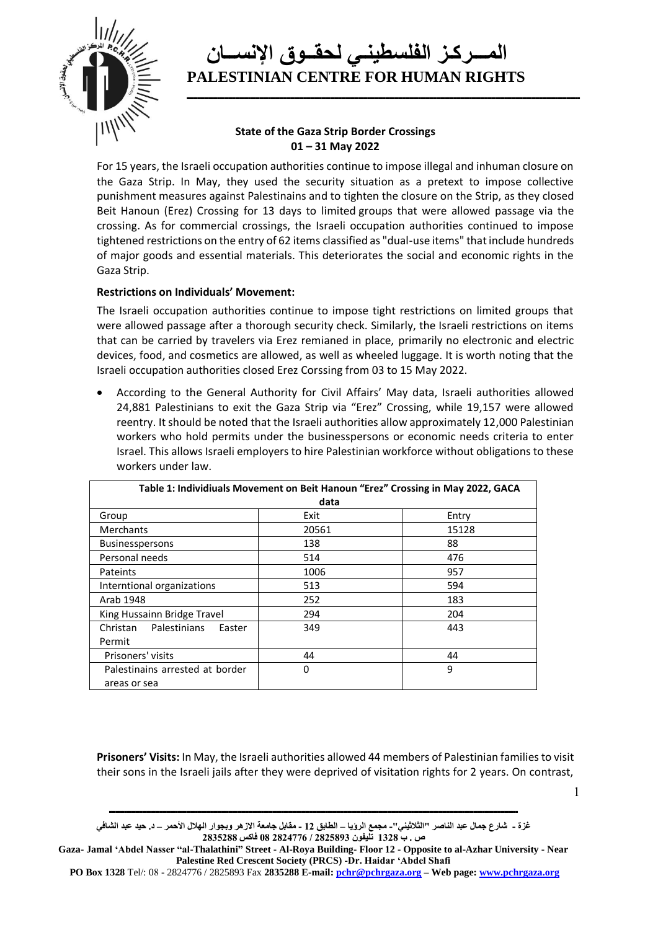

**ــــــــــــــــــــــــــــــــــــــــــــــــــــــــــــــــــــــــــــــــــــــــــــــــــــــــــــــــــــــــــــــــــــــــــــــــــــــــــــــــــــــــــــــــــ**

### **State of the Gaza Strip Border Crossings 01 – 31 May 2022**

For 15 years, the Israeli occupation authorities continue to impose illegal and inhuman closure on the Gaza Strip. In May, they used the security situation as a pretext to impose collective punishment measures against Palestinains and to tighten the closure on the Strip, as they closed Beit Hanoun (Erez) Crossing for 13 days to limited groups that were allowed passage via the crossing. As for commercial crossings, the Israeli occupation authorities continued to impose tightened restrictions on the entry of 62 items classified as "dual-use items" that include hundreds of major goods and essential materials. This deteriorates the social and economic rights in the Gaza Strip.

#### **Restrictions on Individuals' Movement:**

The Israeli occupation authorities continue to impose tight restrictions on limited groups that were allowed passage after a thorough security check. Similarly, the Israeli restrictions on items that can be carried by travelers via Erez remianed in place, primarily no electronic and electric devices, food, and cosmetics are allowed, as well as wheeled luggage. It is worth noting that the Israeli occupation authorities closed Erez Corssing from 03 to 15 May 2022.

• According to the General Authority for Civil Affairs' May data, Israeli authorities allowed 24,881 Palestinians to exit the Gaza Strip via "Erez" Crossing, while 19,157 were allowed reentry. It should be noted that the Israeli authorities allow approximately 12,000 Palestinian workers who hold permits under the businesspersons or economic needs criteria to enter Israel. This allows Israeli employers to hire Palestinian workforce without obligations to these workers under law.

| Table 1: Individiuals Movement on Beit Hanoun "Erez" Crossing in May 2022, GACA |       |       |  |  |  |
|---------------------------------------------------------------------------------|-------|-------|--|--|--|
| data                                                                            |       |       |  |  |  |
| Group                                                                           | Exit  | Entry |  |  |  |
| Merchants                                                                       | 20561 | 15128 |  |  |  |
| <b>Businesspersons</b>                                                          | 138   | 88    |  |  |  |
| Personal needs                                                                  | 514   | 476   |  |  |  |
| Pateints                                                                        | 1006  | 957   |  |  |  |
| Interntional organizations                                                      | 513   | 594   |  |  |  |
| Arab 1948                                                                       | 252   | 183   |  |  |  |
| King Hussainn Bridge Travel                                                     | 294   | 204   |  |  |  |
| <b>Palestinians</b><br>Christan<br>Easter                                       | 349   | 443   |  |  |  |
| Permit                                                                          |       |       |  |  |  |
| Prisoners' visits                                                               | 44    | 44    |  |  |  |
| Palestinains arrested at border                                                 | 0     | 9     |  |  |  |
| areas or sea                                                                    |       |       |  |  |  |

**Prisoners' Visits:** In May, the Israeli authorities allowed 44 members of Palestinian families to visit their sons in the Israeli jails after they were deprived of visitation rights for 2 years. On contrast,

**ـــــــــــــــــــــــــــــــــــــــــــــــــــــــــــــــــــــــــــــــــــــــــــــــــــــــــــــــــــــــــــــــــــــــــــــــــــــــــــــــــــــــــــــــــــــــــ**

1

**غزة - شارع جمال عبد الناصر "الثالثيني"- مجمع الرؤيا – الطابق 12 - مقابل جامعة االزهر وبجوار الهالل األحمر – د. حيد عبد الشافي ص . ب 1328 تليفون 2825893 / 2824776 08 فاكس 2835288**

**Gaza- Jamal 'Abdel Nasser "al-Thalathini" Street - Al-Roya Building- Floor 12 - Opposite to al-Azhar University - Near Palestine Red Crescent Society (PRCS) -Dr. Haidar 'Abdel Shafi** 

**PO Box 1328** Tel/: 08 - 2824776 / 2825893 Fax **2835288 E-mail[: pchr@pchrgaza.org](mailto:pchr@pchrgaza.org) – Web page[: www.pchrgaza.org](http://www.pchrgaza.org/)**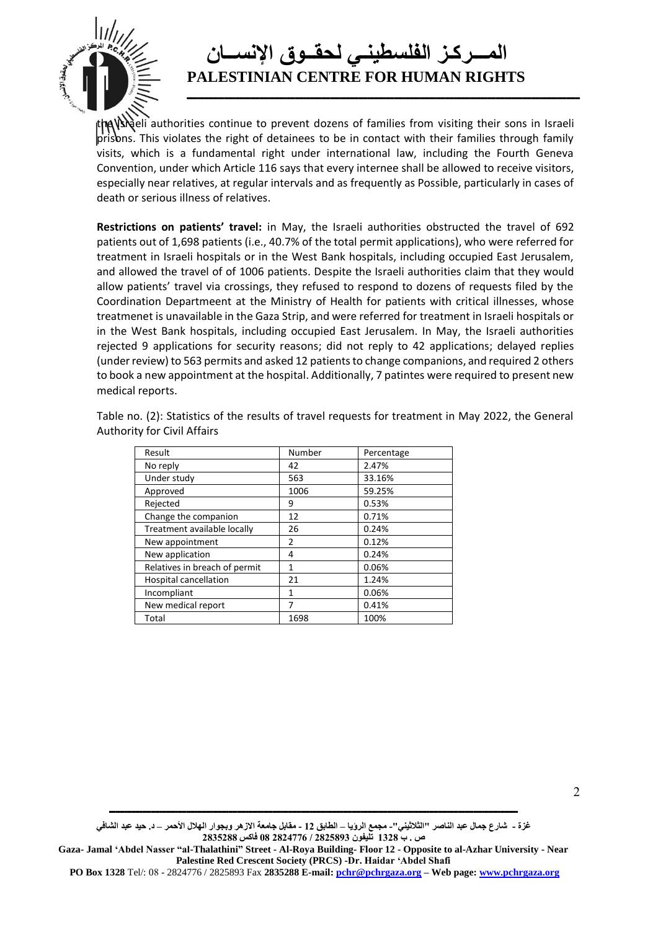

**ــــــــــــــــــــــــــــــــــــــــــــــــــــــــــــــــــــــــــــــــــــــــــــــــــــــــــــــــــــــــــــــــــــــــــــــــــــــــــــــــــــــــــــــــــ**

the Viceli authorities continue to prevent dozens of families from visiting their sons in Israeli prisons. This violates the right of detainees to be in contact with their families through family visits, which is a fundamental right under international law, including the Fourth Geneva Convention, under which Article 116 says that every internee shall be allowed to receive visitors, especially near relatives, at regular intervals and as frequently as Possible, particularly in cases of death or serious illness of relatives.

**Restrictions on patients' travel:** in May, the Israeli authorities obstructed the travel of 692 patients out of 1,698 patients (i.e., 40.7% of the total permit applications), who were referred for treatment in Israeli hospitals or in the West Bank hospitals, including occupied East Jerusalem, and allowed the travel of of 1006 patients. Despite the Israeli authorities claim that they would allow patients' travel via crossings, they refused to respond to dozens of requests filed by the Coordination Departmeent at the Ministry of Health for patients with critical illnesses, whose treatmenet is unavailable in the Gaza Strip, and were referred for treatment in Israeli hospitals or in the West Bank hospitals, including occupied East Jerusalem. In May, the Israeli authorities rejected 9 applications for security reasons; did not reply to 42 applications; delayed replies (under review) to 563 permits and asked 12 patients to change companions, and required 2 others to book a new appointment at the hospital. Additionally, 7 patintes were required to present new medical reports.

Table no. (2): Statistics of the results of travel requests for treatment in May 2022, the General Authority for Civil Affairs

| Result                        | Number | Percentage |
|-------------------------------|--------|------------|
| No reply                      | 42     | 2.47%      |
| Under study                   | 563    | 33.16%     |
| Approved                      | 1006   | 59.25%     |
| Rejected                      | 9      | 0.53%      |
| Change the companion          | 12     | 0.71%      |
| Treatment available locally   | 26     | 0.24%      |
| New appointment               | 2      | 0.12%      |
| New application               | 4      | 0.24%      |
| Relatives in breach of permit | 1      | 0.06%      |
| <b>Hospital cancellation</b>  | 21     | 1.24%      |
| Incompliant                   | 1      | 0.06%      |
| New medical report            | 7      | 0.41%      |
| Total                         | 1698   | 100%       |

**غزة - شارع جمال عبد الناصر "الثالثيني"- مجمع الرؤيا – الطابق 12 - مقابل جامعة االزهر وبجوار الهالل األحمر – د. حيد عبد الشافي ص . ب 1328 تليفون 2825893 / 2824776 08 فاكس 2835288**

**ـــــــــــــــــــــــــــــــــــــــــــــــــــــــــــــــــــــــــــــــــــــــــــــــــــــــــــــــــــــــــــــــــــــــــــــــــــــــــــــــــــــــــــــــــــــــــ**

 <sup>2</sup>

**Gaza- Jamal 'Abdel Nasser "al-Thalathini" Street - Al-Roya Building- Floor 12 - Opposite to al-Azhar University - Near Palestine Red Crescent Society (PRCS) -Dr. Haidar 'Abdel Shafi**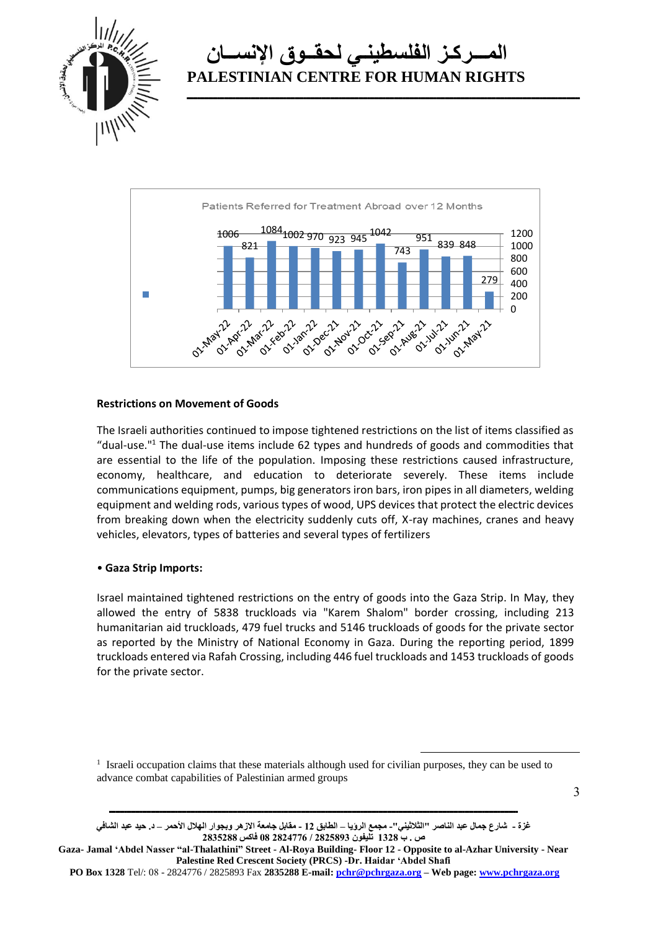

**ــــــــــــــــــــــــــــــــــــــــــــــــــــــــــــــــــــــــــــــــــــــــــــــــــــــــــــــــــــــــــــــــــــــــــــــــــــــــــــــــــــــــــــــــــ**



#### **Restrictions on Movement of Goods**

The Israeli authorities continued to impose tightened restrictions on the list of items classified as "dual-use." $1$  The dual-use items include 62 types and hundreds of goods and commodities that are essential to the life of the population. Imposing these restrictions caused infrastructure, economy, healthcare, and education to deteriorate severely. These items include communications equipment, pumps, big generators iron bars, iron pipes in all diameters, welding equipment and welding rods, various types of wood, UPS devices that protect the electric devices from breaking down when the electricity suddenly cuts off, X-ray machines, cranes and heavy vehicles, elevators, types of batteries and several types of fertilizers

#### • **Gaza Strip Imports:**

Israel maintained tightened restrictions on the entry of goods into the Gaza Strip. In May, they allowed the entry of 5838 truckloads via "Karem Shalom" border crossing, including 213 humanitarian aid truckloads, 479 fuel trucks and 5146 truckloads of goods for the private sector as reported by the Ministry of National Economy in Gaza. During the reporting period, 1899 truckloads entered via Rafah Crossing, including 446 fuel truckloads and 1453 truckloads of goods for the private sector.

<sup>1</sup> Israeli occupation claims that these materials although used for civilian purposes, they can be used to advance combat capabilities of Palestinian armed groups

**غزة - شارع جمال عبد الناصر "الثالثيني"- مجمع الرؤيا – الطابق 12 - مقابل جامعة االزهر وبجوار الهالل األحمر – د. حيد عبد الشافي ص . ب 1328 تليفون 2825893 / 2824776 08 فاكس 2835288**

**ـــــــــــــــــــــــــــــــــــــــــــــــــــــــــــــــــــــــــــــــــــــــــــــــــــــــــــــــــــــــــــــــــــــــــــــــــــــــــــــــــــــــــــــــــــــــــ**

**Gaza- Jamal 'Abdel Nasser "al-Thalathini" Street - Al-Roya Building- Floor 12 - Opposite to al-Azhar University - Near Palestine Red Crescent Society (PRCS) -Dr. Haidar 'Abdel Shafi** 

**PO Box 1328** Tel/: 08 - 2824776 / 2825893 Fax **2835288 E-mail[: pchr@pchrgaza.org](mailto:pchr@pchrgaza.org) – Web page[: www.pchrgaza.org](http://www.pchrgaza.org/)**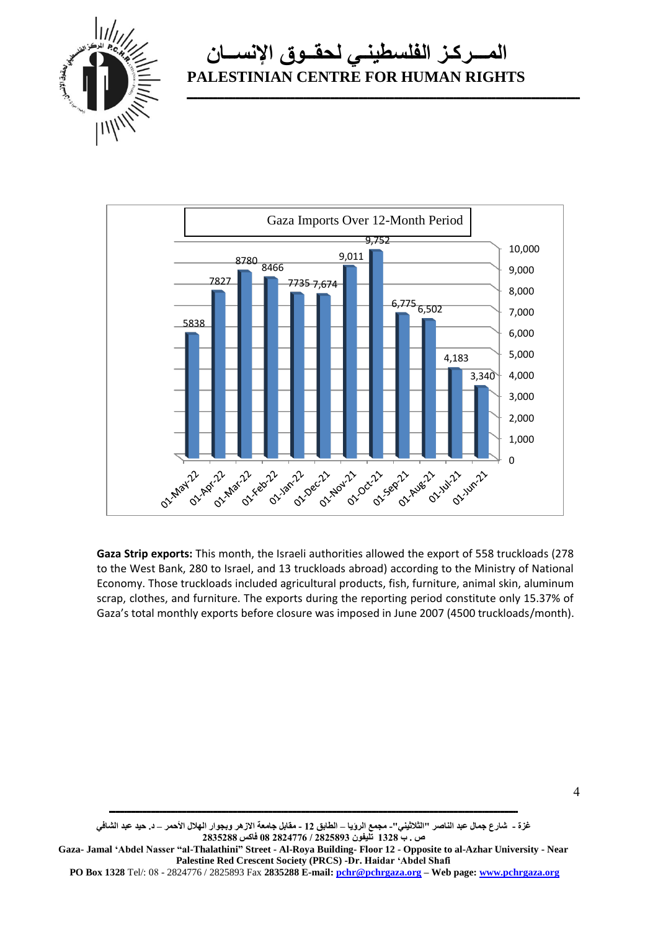

**ــــــــــــــــــــــــــــــــــــــــــــــــــــــــــــــــــــــــــــــــــــــــــــــــــــــــــــــــــــــــــــــــــــــــــــــــــــــــــــــــــــــــــــــــــ**



**Gaza Strip exports:** This month, the Israeli authorities allowed the export of 558 truckloads (278 to the West Bank, 280 to Israel, and 13 truckloads abroad) according to the Ministry of National Economy. Those truckloads included agricultural products, fish, furniture, animal skin, aluminum scrap, clothes, and furniture. The exports during the reporting period constitute only 15.37% of Gaza's total monthly exports before closure was imposed in June 2007 (4500 truckloads/month).

**غزة - شارع جمال عبد الناصر "الثالثيني"- مجمع الرؤيا – الطابق 12 - مقابل جامعة االزهر وبجوار الهالل األحمر – د. حيد عبد الشافي ص . ب 1328 تليفون 2825893 / 2824776 08 فاكس 2835288**

**ـــــــــــــــــــــــــــــــــــــــــــــــــــــــــــــــــــــــــــــــــــــــــــــــــــــــــــــــــــــــــــــــــــــــــــــــــــــــــــــــــــــــــــــــــــــــــ**

**Gaza- Jamal 'Abdel Nasser "al-Thalathini" Street - Al-Roya Building- Floor 12 - Opposite to al-Azhar University - Near Palestine Red Crescent Society (PRCS) -Dr. Haidar 'Abdel Shafi** 

 <sup>4</sup>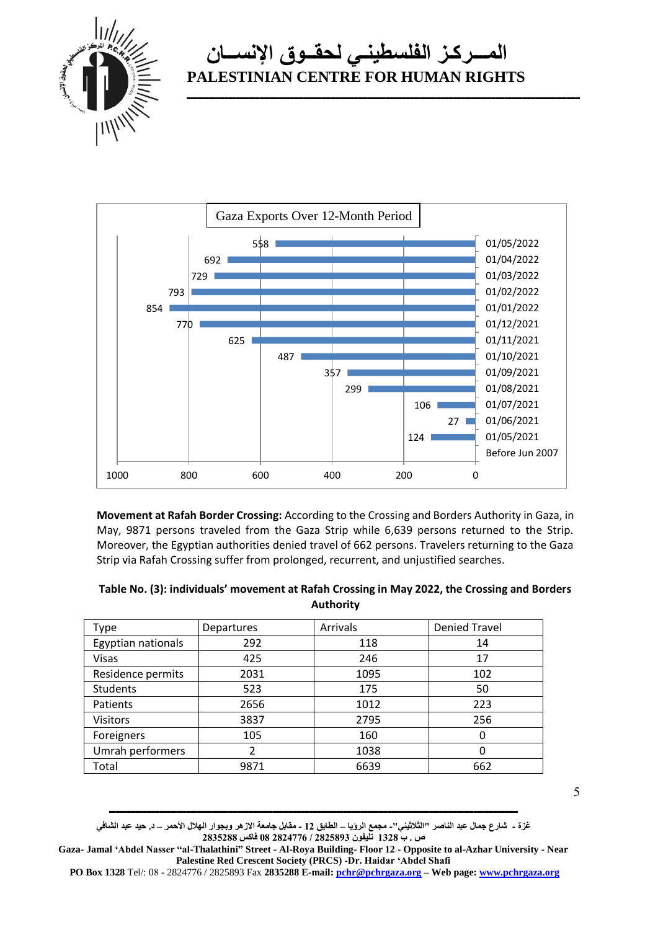

**ــــــــــــــــــــــــــــــــــــــــــــــــــــــــــــــــــــــــــــــــــــــــــــــــــــــــــــــــــــــــــــــــــــــــــــــــــــــــــــــــــــــــــــــــــ**



**Movement at Rafah Border Crossing:** According to the Crossing and Borders Authority in Gaza, in May, 9871 persons traveled from the Gaza Strip while 6,639 persons returned to the Strip. Moreover, the Egyptian authorities denied travel of 662 persons. Travelers returning to the Gaza Strip via Rafah Crossing suffer from prolonged, recurrent, and unjustified searches.

| Table No. (3): individuals' movement at Rafah Crossing in May 2022, the Crossing and Borders |
|----------------------------------------------------------------------------------------------|
| <b>Authority</b>                                                                             |

| Type               | Departures | Arrivals | <b>Denied Travel</b> |
|--------------------|------------|----------|----------------------|
| Egyptian nationals | 292        | 118      | 14                   |
| <b>Visas</b>       | 425        | 246      | 17                   |
| Residence permits  | 2031       | 1095     | 102                  |
| <b>Students</b>    | 523        | 175      | 50                   |
| Patients           | 2656       | 1012     | 223                  |
| <b>Visitors</b>    | 3837       | 2795     | 256                  |
| Foreigners         | 105        | 160      | 0                    |
| Umrah performers   | 2          | 1038     | 0                    |
| Total              | 9871       | 6639     | 662                  |
|                    |            |          |                      |

5

**غزة - شارع جمال عبد الناصر "الثالثيني"- مجمع الرؤيا – الطابق 12 - مقابل جامعة االزهر وبجوار الهالل األحمر – د. حيد عبد الشافي ص . ب 1328 تليفون 2825893 / 2824776 08 فاكس 2835288**

**ـــــــــــــــــــــــــــــــــــــــــــــــــــــــــــــــــــــــــــــــــــــــــــــــــــــــــــــــــــــــــــــــــــــــــــــــــــــــــــــــــــــــــــــــــــــــــ**

**Gaza- Jamal 'Abdel Nasser "al-Thalathini" Street - Al-Roya Building- Floor 12 - Opposite to al-Azhar University - Near Palestine Red Crescent Society (PRCS) -Dr. Haidar 'Abdel Shafi** 

**PO Box 1328** Tel/: 08 - 2824776 / 2825893 Fax **2835288 E-mail[: pchr@pchrgaza.org](mailto:pchr@pchrgaza.org) – Web page[: www.pchrgaza.org](http://www.pchrgaza.org/)**